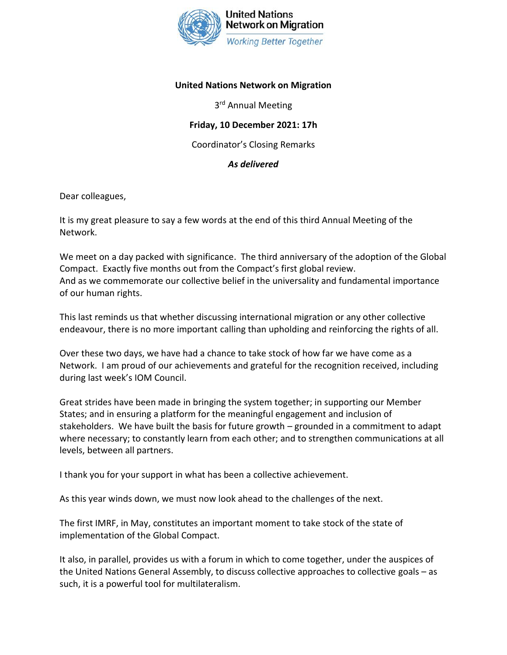

## **United Nations Network on Migration**

3<sup>rd</sup> Annual Meeting

## **Friday, 10 December 2021: 17h**

Coordinator's Closing Remarks

## *As delivered*

Dear colleagues,

It is my great pleasure to say a few words at the end of this third Annual Meeting of the Network.

We meet on a day packed with significance. The third anniversary of the adoption of the Global Compact. Exactly five months out from the Compact's first global review. And as we commemorate our collective belief in the universality and fundamental importance of our human rights.

This last reminds us that whether discussing international migration or any other collective endeavour, there is no more important calling than upholding and reinforcing the rights of all.

Over these two days, we have had a chance to take stock of how far we have come as a Network. I am proud of our achievements and grateful for the recognition received, including during last week's IOM Council.

Great strides have been made in bringing the system together; in supporting our Member States; and in ensuring a platform for the meaningful engagement and inclusion of stakeholders. We have built the basis for future growth – grounded in a commitment to adapt where necessary; to constantly learn from each other; and to strengthen communications at all levels, between all partners.

I thank you for your support in what has been a collective achievement.

As this year winds down, we must now look ahead to the challenges of the next.

The first IMRF, in May, constitutes an important moment to take stock of the state of implementation of the Global Compact.

It also, in parallel, provides us with a forum in which to come together, under the auspices of the United Nations General Assembly, to discuss collective approaches to collective goals – as such, it is a powerful tool for multilateralism.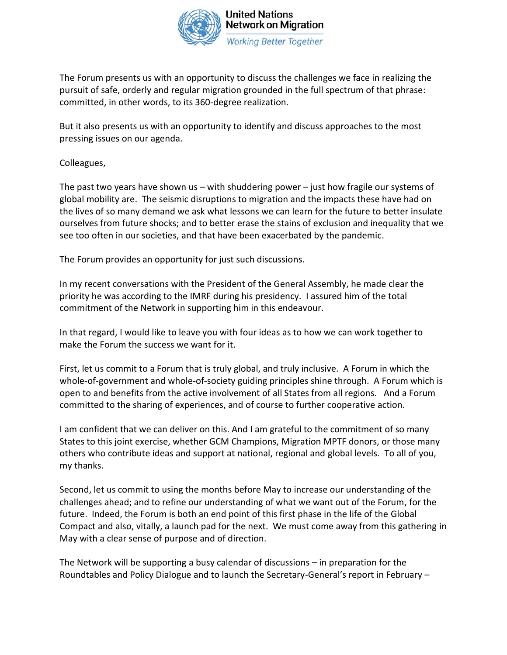

The Forum presents us with an opportunity to discuss the challenges we face in realizing the pursuit of safe, orderly and regular migration grounded in the full spectrum of that phrase: committed, in other words, to its 360-degree realization.

But it also presents us with an opportunity to identify and discuss approaches to the most pressing issues on our agenda.

Colleagues,

The past two years have shown us – with shuddering power – just how fragile our systems of global mobility are. The seismic disruptions to migration and the impacts these have had on the lives of so many demand we ask what lessons we can learn for the future to better insulate ourselves from future shocks; and to better erase the stains of exclusion and inequality that we see too often in our societies, and that have been exacerbated by the pandemic.

The Forum provides an opportunity for just such discussions.

In my recent conversations with the President of the General Assembly, he made clear the priority he was according to the IMRF during his presidency. I assured him of the total commitment of the Network in supporting him in this endeavour.

In that regard, I would like to leave you with four ideas as to how we can work together to make the Forum the success we want for it.

First, let us commit to a Forum that is truly global, and truly inclusive. A Forum in which the whole-of-government and whole-of-society guiding principles shine through. A Forum which is open to and benefits from the active involvement of all States from all regions. And a Forum committed to the sharing of experiences, and of course to further cooperative action.

I am confident that we can deliver on this. And I am grateful to the commitment of so many States to this joint exercise, whether GCM Champions, Migration MPTF donors, or those many others who contribute ideas and support at national, regional and global levels. To all of you, my thanks.

Second, let us commit to using the months before May to increase our understanding of the challenges ahead; and to refine our understanding of what we want out of the Forum, for the future. Indeed, the Forum is both an end point of this first phase in the life of the Global Compact and also, vitally, a launch pad for the next. We must come away from this gathering in May with a clear sense of purpose and of direction.

The Network will be supporting a busy calendar of discussions – in preparation for the Roundtables and Policy Dialogue and to launch the Secretary-General's report in February –